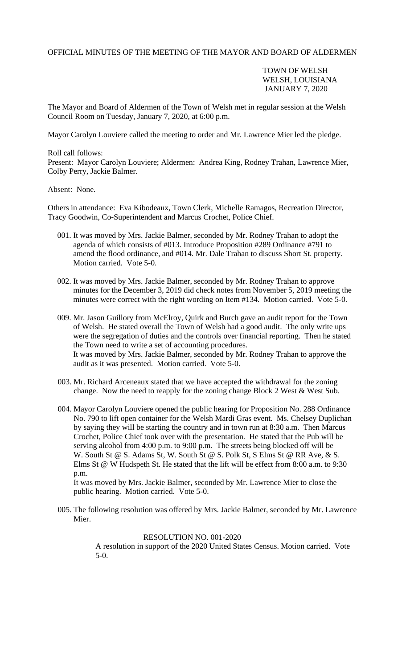OFFICIAL MINUTES OF THE MEETING OF THE MAYOR AND BOARD OF ALDERMEN

TOWN OF WELSH WELSH, LOUISIANA JANUARY 7, 2020

The Mayor and Board of Aldermen of the Town of Welsh met in regular session at the Welsh Council Room on Tuesday, January 7, 2020, at 6:00 p.m.

Mayor Carolyn Louviere called the meeting to order and Mr. Lawrence Mier led the pledge.

Roll call follows: Present: Mayor Carolyn Louviere; Aldermen: Andrea King, Rodney Trahan, Lawrence Mier, Colby Perry, Jackie Balmer.

Absent: None.

Others in attendance: Eva Kibodeaux, Town Clerk, Michelle Ramagos, Recreation Director, Tracy Goodwin, Co-Superintendent and Marcus Crochet, Police Chief.

- 001. It was moved by Mrs. Jackie Balmer, seconded by Mr. Rodney Trahan to adopt the agenda of which consists of #013. Introduce Proposition #289 Ordinance #791 to amend the flood ordinance, and #014. Mr. Dale Trahan to discuss Short St. property. Motion carried. Vote 5-0.
- 002. It was moved by Mrs. Jackie Balmer, seconded by Mr. Rodney Trahan to approve minutes for the December 3, 2019 did check notes from November 5, 2019 meeting the minutes were correct with the right wording on Item #134. Motion carried. Vote 5-0.
- 009. Mr. Jason Guillory from McElroy, Quirk and Burch gave an audit report for the Town of Welsh. He stated overall the Town of Welsh had a good audit. The only write ups were the segregation of duties and the controls over financial reporting. Then he stated the Town need to write a set of accounting procedures. It was moved by Mrs. Jackie Balmer, seconded by Mr. Rodney Trahan to approve the audit as it was presented. Motion carried. Vote 5-0.
- 003. Mr. Richard Arceneaux stated that we have accepted the withdrawal for the zoning change. Now the need to reapply for the zoning change Block 2 West & West Sub.
- 004. Mayor Carolyn Louviere opened the public hearing for Proposition No. 288 Ordinance No. 790 to lift open container for the Welsh Mardi Gras event. Ms. Chelsey Duplichan by saying they will be starting the country and in town run at 8:30 a.m. Then Marcus Crochet, Police Chief took over with the presentation. He stated that the Pub will be serving alcohol from 4:00 p.m. to 9:00 p.m. The streets being blocked off will be W. South St @ S. Adams St, W. South St @ S. Polk St, S Elms St @ RR Ave, & S. Elms St @ W Hudspeth St. He stated that the lift will be effect from 8:00 a.m. to 9:30 p.m.

 It was moved by Mrs. Jackie Balmer, seconded by Mr. Lawrence Mier to close the public hearing. Motion carried. Vote 5-0.

 005. The following resolution was offered by Mrs. Jackie Balmer, seconded by Mr. Lawrence Mier.

## RESOLUTION NO. 001-2020

A resolution in support of the 2020 United States Census. Motion carried. Vote 5-0.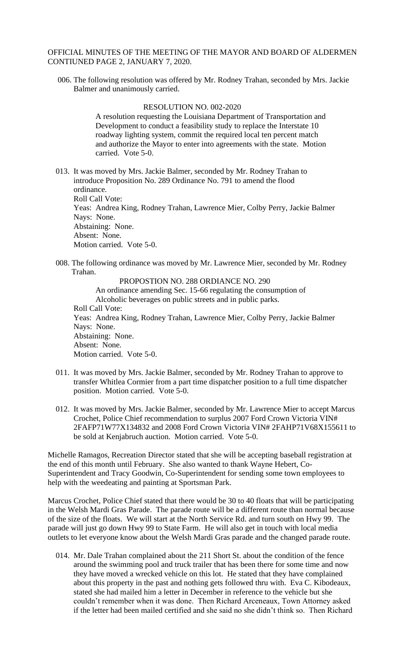## OFFICIAL MINUTES OF THE MEETING OF THE MAYOR AND BOARD OF ALDERMEN CONTIUNED PAGE 2, JANUARY 7, 2020.

 006. The following resolution was offered by Mr. Rodney Trahan, seconded by Mrs. Jackie Balmer and unanimously carried.

## RESOLUTION NO. 002-2020

 A resolution requesting the Louisiana Department of Transportation and Development to conduct a feasibility study to replace the Interstate 10 roadway lighting system, commit the required local ten percent match and authorize the Mayor to enter into agreements with the state. Motion carried. Vote 5-0.

 013. It was moved by Mrs. Jackie Balmer, seconded by Mr. Rodney Trahan to introduce Proposition No. 289 Ordinance No. 791 to amend the flood ordinance. Roll Call Vote: Yeas: Andrea King, Rodney Trahan, Lawrence Mier, Colby Perry, Jackie Balmer Nays: None. Abstaining: None. Absent: None. Motion carried. Vote 5-0.

 008. The following ordinance was moved by Mr. Lawrence Mier, seconded by Mr. Rodney Trahan.

 PROPOSTION NO. 288 ORDIANCE NO. 290 An ordinance amending Sec. 15-66 regulating the consumption of Alcoholic beverages on public streets and in public parks. Roll Call Vote: Yeas: Andrea King, Rodney Trahan, Lawrence Mier, Colby Perry, Jackie Balmer Nays: None. Abstaining: None. Absent: None. Motion carried. Vote 5-0.

- 011. It was moved by Mrs. Jackie Balmer, seconded by Mr. Rodney Trahan to approve to transfer Whitlea Cormier from a part time dispatcher position to a full time dispatcher position. Motion carried. Vote 5-0.
- 012. It was moved by Mrs. Jackie Balmer, seconded by Mr. Lawrence Mier to accept Marcus Crochet, Police Chief recommendation to surplus 2007 Ford Crown Victoria VIN# 2FAFP71W77X134832 and 2008 Ford Crown Victoria VIN# 2FAHP71V68X155611 to be sold at Kenjabruch auction. Motion carried. Vote 5-0.

Michelle Ramagos, Recreation Director stated that she will be accepting baseball registration at the end of this month until February. She also wanted to thank Wayne Hebert, Co-Superintendent and Tracy Goodwin, Co-Superintendent for sending some town employees to help with the weedeating and painting at Sportsman Park.

Marcus Crochet, Police Chief stated that there would be 30 to 40 floats that will be participating in the Welsh Mardi Gras Parade. The parade route will be a different route than normal because of the size of the floats. We will start at the North Service Rd. and turn south on Hwy 99. The parade will just go down Hwy 99 to State Farm. He will also get in touch with local media outlets to let everyone know about the Welsh Mardi Gras parade and the changed parade route.

 014. Mr. Dale Trahan complained about the 211 Short St. about the condition of the fence around the swimming pool and truck trailer that has been there for some time and now they have moved a wrecked vehicle on this lot. He stated that they have complained about this property in the past and nothing gets followed thru with. Eva C. Kibodeaux, stated she had mailed him a letter in December in reference to the vehicle but she couldn't remember when it was done. Then Richard Arceneaux, Town Attorney asked if the letter had been mailed certified and she said no she didn't think so. Then Richard